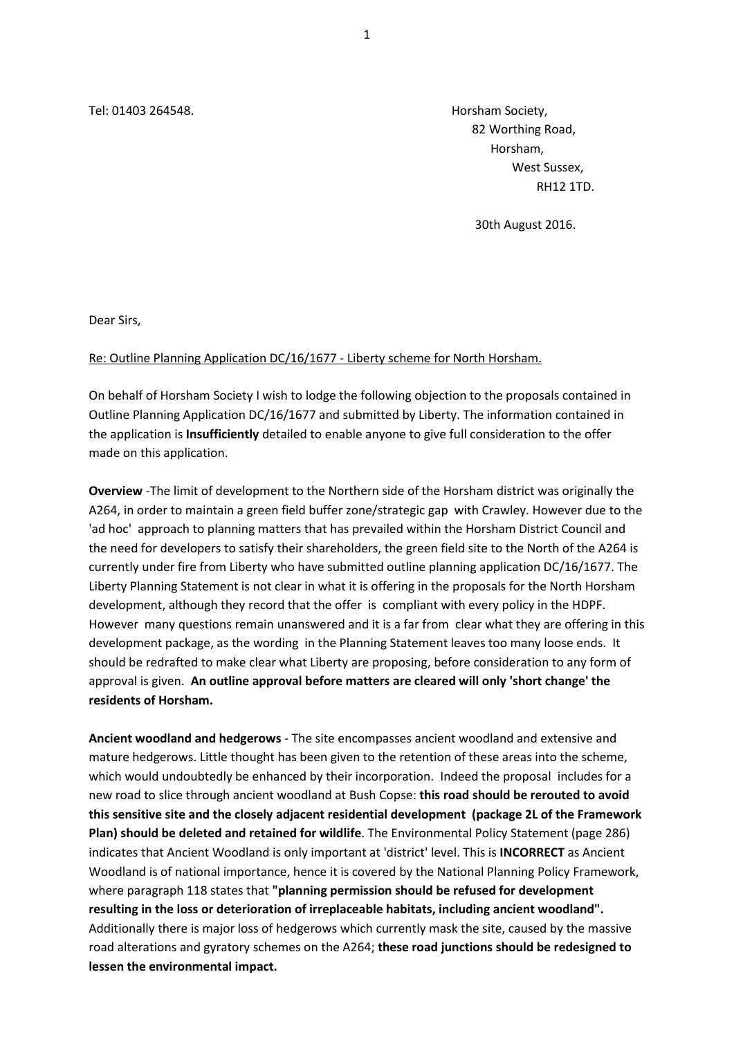Tel: 01403 264548. Horsham Society,

 82 Worthing Road, Horsham, West Sussex, RH12 1TD.

30th August 2016.

Dear Sirs,

## Re: Outline Planning Application DC/16/1677 - Liberty scheme for North Horsham.

On behalf of Horsham Society I wish to lodge the following objection to the proposals contained in Outline Planning Application DC/16/1677 and submitted by Liberty. The information contained in the application is **Insufficiently** detailed to enable anyone to give full consideration to the offer made on this application.

**Overview** -The limit of development to the Northern side of the Horsham district was originally the A264, in order to maintain a green field buffer zone/strategic gap with Crawley. However due to the 'ad hoc' approach to planning matters that has prevailed within the Horsham District Council and the need for developers to satisfy their shareholders, the green field site to the North of the A264 is currently under fire from Liberty who have submitted outline planning application DC/16/1677. The Liberty Planning Statement is not clear in what it is offering in the proposals for the North Horsham development, although they record that the offer is compliant with every policy in the HDPF. However many questions remain unanswered and it is a far from clear what they are offering in this development package, as the wording in the Planning Statement leaves too many loose ends. It should be redrafted to make clear what Liberty are proposing, before consideration to any form of approval is given. **An outline approval before matters are cleared will only 'short change' the residents of Horsham.**

**Ancient woodland and hedgerows** - The site encompasses ancient woodland and extensive and mature hedgerows. Little thought has been given to the retention of these areas into the scheme, which would undoubtedly be enhanced by their incorporation. Indeed the proposal includes for a new road to slice through ancient woodland at Bush Copse: **this road should be rerouted to avoid this sensitive site and the closely adjacent residential development (package 2L of the Framework Plan) should be deleted and retained for wildlife**. The Environmental Policy Statement (page 286) indicates that Ancient Woodland is only important at 'district' level. This is **INCORRECT** as Ancient Woodland is of national importance, hence it is covered by the National Planning Policy Framework, where paragraph 118 states that **"planning permission should be refused for development resulting in the loss or deterioration of irreplaceable habitats, including ancient woodland".** Additionally there is major loss of hedgerows which currently mask the site, caused by the massive road alterations and gyratory schemes on the A264; **these road junctions should be redesigned to lessen the environmental impact.**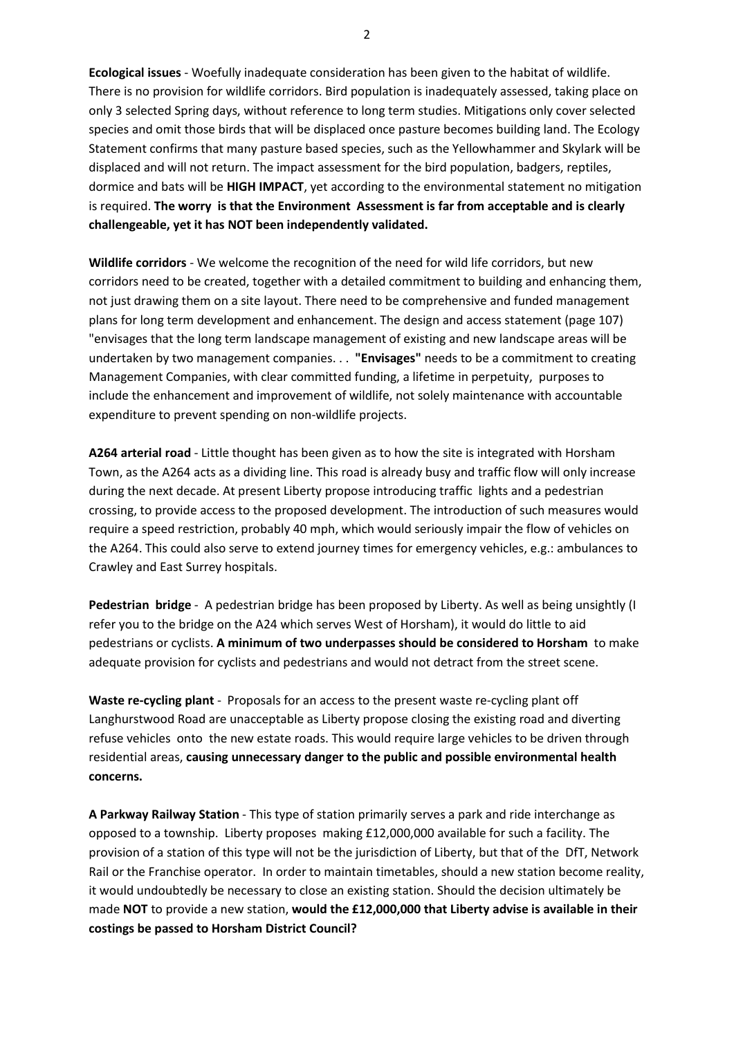**Ecological issues** - Woefully inadequate consideration has been given to the habitat of wildlife. There is no provision for wildlife corridors. Bird population is inadequately assessed, taking place on only 3 selected Spring days, without reference to long term studies. Mitigations only cover selected species and omit those birds that will be displaced once pasture becomes building land. The Ecology Statement confirms that many pasture based species, such as the Yellowhammer and Skylark will be displaced and will not return. The impact assessment for the bird population, badgers, reptiles, dormice and bats will be **HIGH IMPACT**, yet according to the environmental statement no mitigation is required. **The worry is that the Environment Assessment is far from acceptable and is clearly challengeable, yet it has NOT been independently validated.**

**Wildlife corridors** - We welcome the recognition of the need for wild life corridors, but new corridors need to be created, together with a detailed commitment to building and enhancing them, not just drawing them on a site layout. There need to be comprehensive and funded management plans for long term development and enhancement. The design and access statement (page 107) "envisages that the long term landscape management of existing and new landscape areas will be undertaken by two management companies. . . **"Envisages"** needs to be a commitment to creating Management Companies, with clear committed funding, a lifetime in perpetuity, purposes to include the enhancement and improvement of wildlife, not solely maintenance with accountable expenditure to prevent spending on non-wildlife projects.

**A264 arterial road** - Little thought has been given as to how the site is integrated with Horsham Town, as the A264 acts as a dividing line. This road is already busy and traffic flow will only increase during the next decade. At present Liberty propose introducing traffic lights and a pedestrian crossing, to provide access to the proposed development. The introduction of such measures would require a speed restriction, probably 40 mph, which would seriously impair the flow of vehicles on the A264. This could also serve to extend journey times for emergency vehicles, e.g.: ambulances to Crawley and East Surrey hospitals.

**Pedestrian bridge** - A pedestrian bridge has been proposed by Liberty. As well as being unsightly (I refer you to the bridge on the A24 which serves West of Horsham), it would do little to aid pedestrians or cyclists. **A minimum of two underpasses should be considered to Horsham** to make adequate provision for cyclists and pedestrians and would not detract from the street scene.

**Waste re-cycling plant** - Proposals for an access to the present waste re-cycling plant off Langhurstwood Road are unacceptable as Liberty propose closing the existing road and diverting refuse vehicles onto the new estate roads. This would require large vehicles to be driven through residential areas, **causing unnecessary danger to the public and possible environmental health concerns.**

**A Parkway Railway Station** - This type of station primarily serves a park and ride interchange as opposed to a township. Liberty proposes making £12,000,000 available for such a facility. The provision of a station of this type will not be the jurisdiction of Liberty, but that of the DfT, Network Rail or the Franchise operator. In order to maintain timetables, should a new station become reality, it would undoubtedly be necessary to close an existing station. Should the decision ultimately be made **NOT** to provide a new station, **would the £12,000,000 that Liberty advise is available in their costings be passed to Horsham District Council?** 

2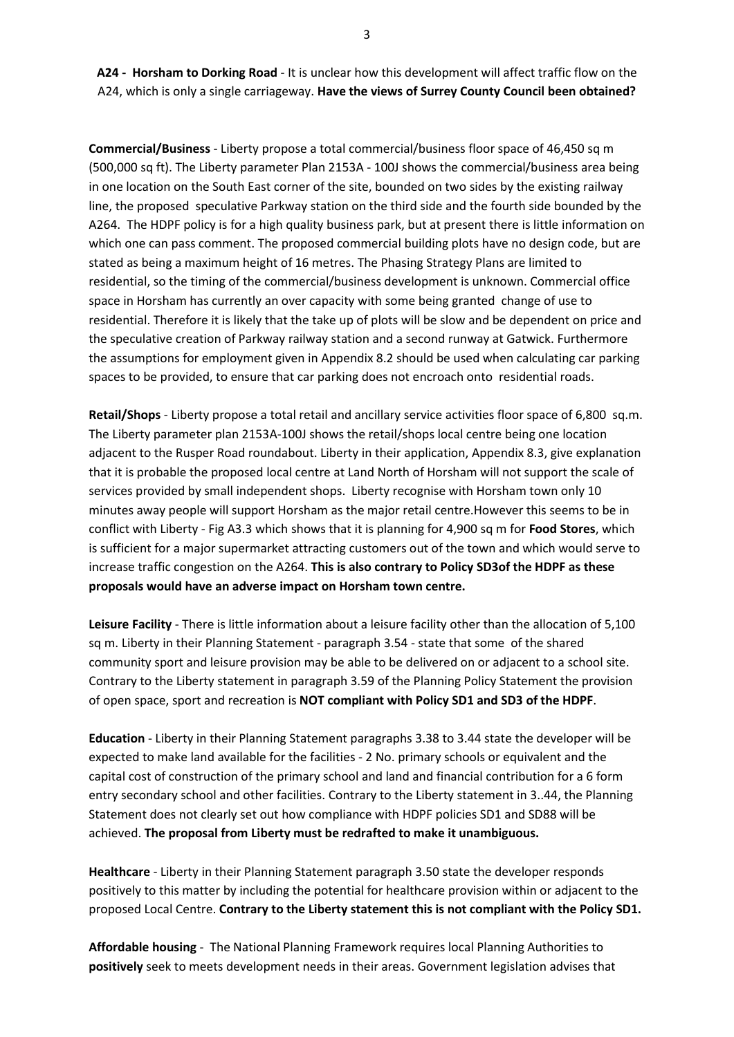**A24 - Horsham to Dorking Road** - It is unclear how this development will affect traffic flow on the A24, which is only a single carriageway. **Have the views of Surrey County Council been obtained?**

**Commercial/Business** - Liberty propose a total commercial/business floor space of 46,450 sq m (500,000 sq ft). The Liberty parameter Plan 2153A - 100J shows the commercial/business area being in one location on the South East corner of the site, bounded on two sides by the existing railway line, the proposed speculative Parkway station on the third side and the fourth side bounded by the A264. The HDPF policy is for a high quality business park, but at present there is little information on which one can pass comment. The proposed commercial building plots have no design code, but are stated as being a maximum height of 16 metres. The Phasing Strategy Plans are limited to residential, so the timing of the commercial/business development is unknown. Commercial office space in Horsham has currently an over capacity with some being granted change of use to residential. Therefore it is likely that the take up of plots will be slow and be dependent on price and the speculative creation of Parkway railway station and a second runway at Gatwick. Furthermore the assumptions for employment given in Appendix 8.2 should be used when calculating car parking spaces to be provided, to ensure that car parking does not encroach onto residential roads.

**Retail/Shops** - Liberty propose a total retail and ancillary service activities floor space of 6,800 sq.m. The Liberty parameter plan 2153A-100J shows the retail/shops local centre being one location adjacent to the Rusper Road roundabout. Liberty in their application, Appendix 8.3, give explanation that it is probable the proposed local centre at Land North of Horsham will not support the scale of services provided by small independent shops. Liberty recognise with Horsham town only 10 minutes away people will support Horsham as the major retail centre.However this seems to be in conflict with Liberty - Fig A3.3 which shows that it is planning for 4,900 sq m for **Food Stores**, which is sufficient for a major supermarket attracting customers out of the town and which would serve to increase traffic congestion on the A264. **This is also contrary to Policy SD3of the HDPF as these proposals would have an adverse impact on Horsham town centre.**

**Leisure Facility** - There is little information about a leisure facility other than the allocation of 5,100 sq m. Liberty in their Planning Statement - paragraph 3.54 - state that some of the shared community sport and leisure provision may be able to be delivered on or adjacent to a school site. Contrary to the Liberty statement in paragraph 3.59 of the Planning Policy Statement the provision of open space, sport and recreation is **NOT compliant with Policy SD1 and SD3 of the HDPF**.

**Education** - Liberty in their Planning Statement paragraphs 3.38 to 3.44 state the developer will be expected to make land available for the facilities - 2 No. primary schools or equivalent and the capital cost of construction of the primary school and land and financial contribution for a 6 form entry secondary school and other facilities. Contrary to the Liberty statement in 3..44, the Planning Statement does not clearly set out how compliance with HDPF policies SD1 and SD88 will be achieved. **The proposal from Liberty must be redrafted to make it unambiguous.**

**Healthcare** - Liberty in their Planning Statement paragraph 3.50 state the developer responds positively to this matter by including the potential for healthcare provision within or adjacent to the proposed Local Centre. **Contrary to the Liberty statement this is not compliant with the Policy SD1.**

**Affordable housing** - The National Planning Framework requires local Planning Authorities to **positively** seek to meets development needs in their areas. Government legislation advises that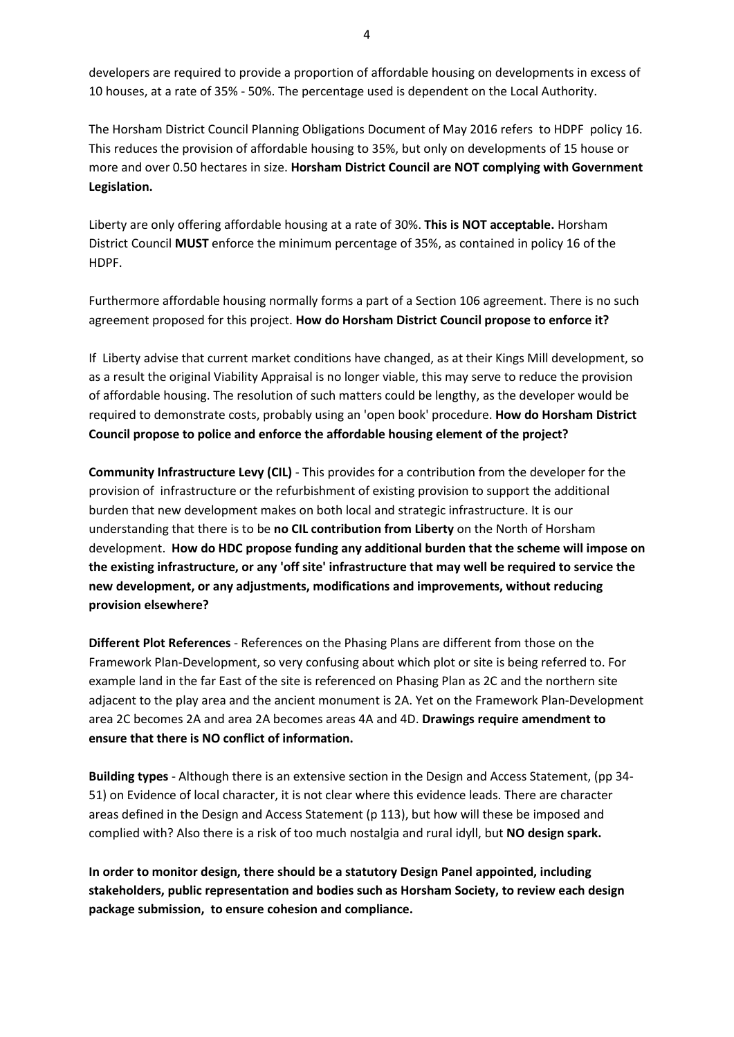developers are required to provide a proportion of affordable housing on developments in excess of 10 houses, at a rate of 35% - 50%. The percentage used is dependent on the Local Authority.

The Horsham District Council Planning Obligations Document of May 2016 refers to HDPF policy 16. This reduces the provision of affordable housing to 35%, but only on developments of 15 house or more and over 0.50 hectares in size. **Horsham District Council are NOT complying with Government Legislation.**

Liberty are only offering affordable housing at a rate of 30%. **This is NOT acceptable.** Horsham District Council **MUST** enforce the minimum percentage of 35%, as contained in policy 16 of the HDPF.

Furthermore affordable housing normally forms a part of a Section 106 agreement. There is no such agreement proposed for this project. **How do Horsham District Council propose to enforce it?**

If Liberty advise that current market conditions have changed, as at their Kings Mill development, so as a result the original Viability Appraisal is no longer viable, this may serve to reduce the provision of affordable housing. The resolution of such matters could be lengthy, as the developer would be required to demonstrate costs, probably using an 'open book' procedure. **How do Horsham District Council propose to police and enforce the affordable housing element of the project?**

**Community Infrastructure Levy (CIL)** - This provides for a contribution from the developer for the provision of infrastructure or the refurbishment of existing provision to support the additional burden that new development makes on both local and strategic infrastructure. It is our understanding that there is to be **no CIL contribution from Liberty** on the North of Horsham development. **How do HDC propose funding any additional burden that the scheme will impose on the existing infrastructure, or any 'off site' infrastructure that may well be required to service the new development, or any adjustments, modifications and improvements, without reducing provision elsewhere?**

**Different Plot References** - References on the Phasing Plans are different from those on the Framework Plan-Development, so very confusing about which plot or site is being referred to. For example land in the far East of the site is referenced on Phasing Plan as 2C and the northern site adjacent to the play area and the ancient monument is 2A. Yet on the Framework Plan-Development area 2C becomes 2A and area 2A becomes areas 4A and 4D. **Drawings require amendment to ensure that there is NO conflict of information.**

**Building types** - Although there is an extensive section in the Design and Access Statement, (pp 34- 51) on Evidence of local character, it is not clear where this evidence leads. There are character areas defined in the Design and Access Statement (p 113), but how will these be imposed and complied with? Also there is a risk of too much nostalgia and rural idyll, but **NO design spark.**

**In order to monitor design, there should be a statutory Design Panel appointed, including stakeholders, public representation and bodies such as Horsham Society, to review each design package submission, to ensure cohesion and compliance.**